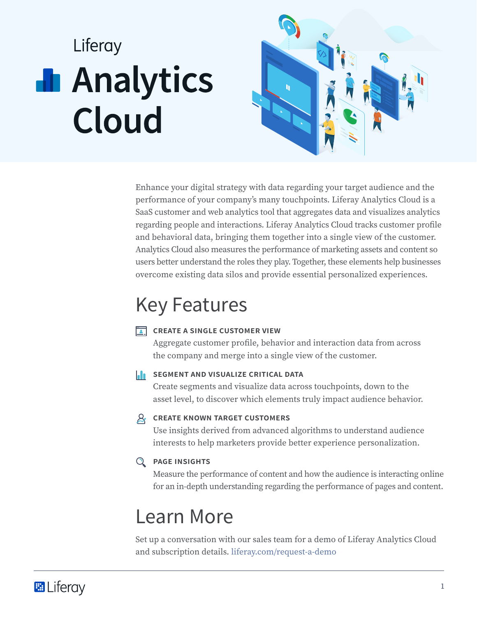# Liferay **I** Analytics Cloud



Enhance your digital strategy with data regarding your target audience and the performance of your company's many touchpoints. Liferay Analytics Cloud is a SaaS customer and web analytics tool that aggregates data and visualizes analytics regarding people and interactions. Liferay Analytics Cloud tracks customer profile and behavioral data, bringing them together into a single view of the customer. Analytics Cloud also measures the performance of marketing assets and content so users better understand the roles they play. Together, these elements help businesses overcome existing data silos and provide essential personalized experiences.

# Key Features

#### **CREATE A SINGLE CUSTOMER VIEW**

Aggregate customer profile, behavior and interaction data from across the company and merge into a single view of the customer.

#### **SEGMENT AND VISUALIZE CRITICAL DATA**

Create segments and visualize data across touchpoints, down to the asset level, to discover which elements truly impact audience behavior.

#### **Create Known Target Customers**

Use insights derived from advanced algorithms to understand audience interests to help marketers provide better experience personalization.

### **Page Insights**

Measure the performance of content and how the audience is interacting online for an in-depth understanding regarding the performance of pages and content.

# Learn More

Set up a conversation with our sales team for a demo of Liferay Analytics Cloud and subscription details. [liferay.com/request-a-demo](https://www.liferay.com/request-a-demo?utm_source=whitepaper&utm_medium=content&utm_content=liferay%20analytics%20cloud%20product%20overview)